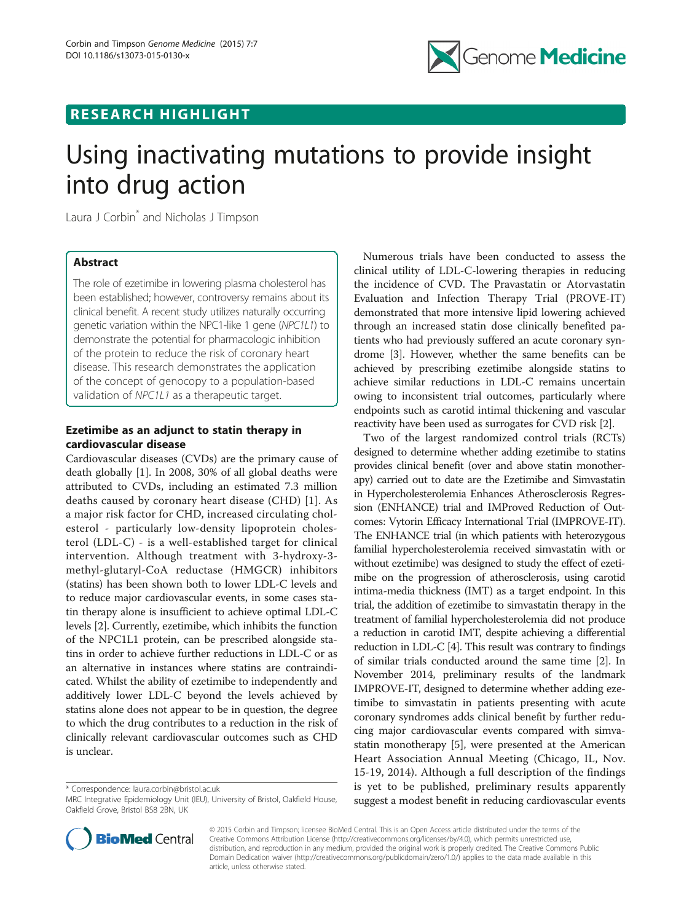

## RESEARCH HIGHLIGHT

# Using inactivating mutations to provide insight into drug action

Laura J Corbin<sup>\*</sup> and Nicholas J Timpson

## Abstract

The role of ezetimibe in lowering plasma cholesterol has been established; however, controversy remains about its clinical benefit. A recent study utilizes naturally occurring genetic variation within the NPC1-like 1 gene (NPC1L1) to demonstrate the potential for pharmacologic inhibition of the protein to reduce the risk of coronary heart disease. This research demonstrates the application of the concept of genocopy to a population-based validation of NPC1L1 as a therapeutic target.

## Ezetimibe as an adjunct to statin therapy in cardiovascular disease

Cardiovascular diseases (CVDs) are the primary cause of death globally [\[1](#page-2-0)]. In 2008, 30% of all global deaths were attributed to CVDs, including an estimated 7.3 million deaths caused by coronary heart disease (CHD) [[1\]](#page-2-0). As a major risk factor for CHD, increased circulating cholesterol - particularly low-density lipoprotein cholesterol (LDL-C) - is a well-established target for clinical intervention. Although treatment with 3-hydroxy-3 methyl-glutaryl-CoA reductase (HMGCR) inhibitors (statins) has been shown both to lower LDL-C levels and to reduce major cardiovascular events, in some cases statin therapy alone is insufficient to achieve optimal LDL-C levels [\[2](#page-2-0)]. Currently, ezetimibe, which inhibits the function of the NPC1L1 protein, can be prescribed alongside statins in order to achieve further reductions in LDL-C or as an alternative in instances where statins are contraindicated. Whilst the ability of ezetimibe to independently and additively lower LDL-C beyond the levels achieved by statins alone does not appear to be in question, the degree to which the drug contributes to a reduction in the risk of clinically relevant cardiovascular outcomes such as CHD is unclear.

\* Correspondence: [laura.corbin@bristol.ac.uk](mailto:laura.corbin@bristol.ac.uk)

Numerous trials have been conducted to assess the clinical utility of LDL-C-lowering therapies in reducing the incidence of CVD. The Pravastatin or Atorvastatin Evaluation and Infection Therapy Trial (PROVE-IT) demonstrated that more intensive lipid lowering achieved through an increased statin dose clinically benefited patients who had previously suffered an acute coronary syndrome [[3](#page-2-0)]. However, whether the same benefits can be achieved by prescribing ezetimibe alongside statins to achieve similar reductions in LDL-C remains uncertain owing to inconsistent trial outcomes, particularly where endpoints such as carotid intimal thickening and vascular reactivity have been used as surrogates for CVD risk [\[2](#page-2-0)].

Two of the largest randomized control trials (RCTs) designed to determine whether adding ezetimibe to statins provides clinical benefit (over and above statin monotherapy) carried out to date are the Ezetimibe and Simvastatin in Hypercholesterolemia Enhances Atherosclerosis Regression (ENHANCE) trial and IMProved Reduction of Outcomes: Vytorin Efficacy International Trial (IMPROVE-IT). The ENHANCE trial (in which patients with heterozygous familial hypercholesterolemia received simvastatin with or without ezetimibe) was designed to study the effect of ezetimibe on the progression of atherosclerosis, using carotid intima-media thickness (IMT) as a target endpoint. In this trial, the addition of ezetimibe to simvastatin therapy in the treatment of familial hypercholesterolemia did not produce a reduction in carotid IMT, despite achieving a differential reduction in LDL-C [\[4\]](#page-2-0). This result was contrary to findings of similar trials conducted around the same time [\[2\]](#page-2-0). In November 2014, preliminary results of the landmark IMPROVE-IT, designed to determine whether adding ezetimibe to simvastatin in patients presenting with acute coronary syndromes adds clinical benefit by further reducing major cardiovascular events compared with simvastatin monotherapy [\[5](#page-2-0)], were presented at the American Heart Association Annual Meeting (Chicago, IL, Nov. 15-19, 2014). Although a full description of the findings is yet to be published, preliminary results apparently suggest a modest benefit in reducing cardiovascular events



© 2015 Corbin and Timpson; licensee BioMed Central. This is an Open Access article distributed under the terms of the Creative Commons Attribution License (<http://creativecommons.org/licenses/by/4.0>), which permits unrestricted use, distribution, and reproduction in any medium, provided the original work is properly credited. The Creative Commons Public Domain Dedication waiver [\(http://creativecommons.org/publicdomain/zero/1.0/\)](http://creativecommons.org/publicdomain/zero/1.0/) applies to the data made available in this article, unless otherwise stated.

MRC Integrative Epidemiology Unit (IEU), University of Bristol, Oakfield House, Oakfield Grove, Bristol BS8 2BN, UK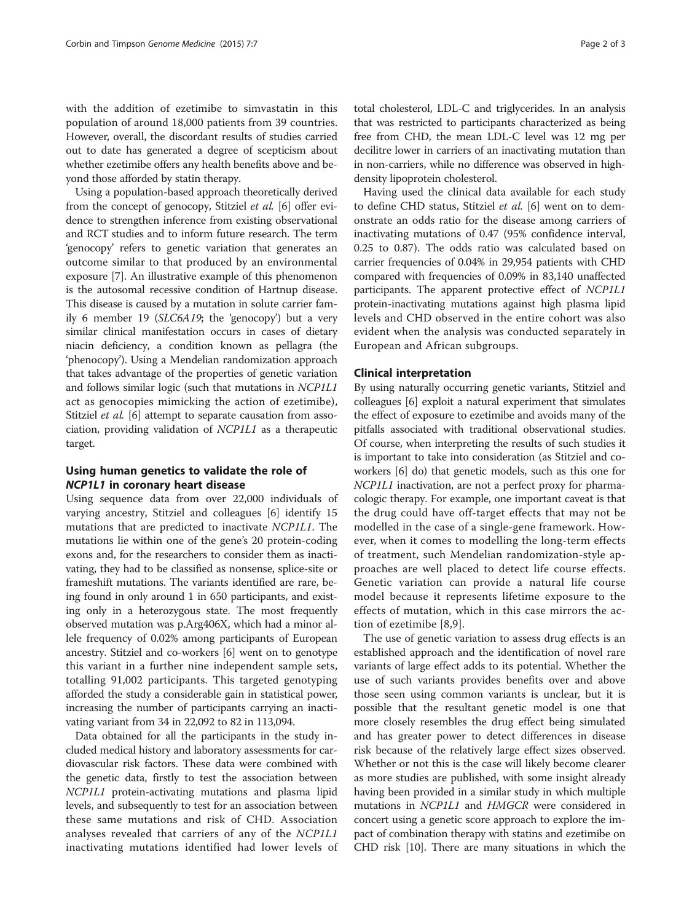with the addition of ezetimibe to simvastatin in this population of around 18,000 patients from 39 countries. However, overall, the discordant results of studies carried out to date has generated a degree of scepticism about whether ezetimibe offers any health benefits above and beyond those afforded by statin therapy.

Using a population-based approach theoretically derived from the concept of genocopy, Stitziel et al. [[6](#page-2-0)] offer evidence to strengthen inference from existing observational and RCT studies and to inform future research. The term 'genocopy' refers to genetic variation that generates an outcome similar to that produced by an environmental exposure [\[7\]](#page-2-0). An illustrative example of this phenomenon is the autosomal recessive condition of Hartnup disease. This disease is caused by a mutation in solute carrier family 6 member 19 (SLC6A19; the 'genocopy') but a very similar clinical manifestation occurs in cases of dietary niacin deficiency, a condition known as pellagra (the 'phenocopy'). Using a Mendelian randomization approach that takes advantage of the properties of genetic variation and follows similar logic (such that mutations in NCP1L1 act as genocopies mimicking the action of ezetimibe), Stitziel *et al.* [[6](#page-2-0)] attempt to separate causation from association, providing validation of NCP1L1 as a therapeutic target.

### Using human genetics to validate the role of NCP1L1 in coronary heart disease

Using sequence data from over 22,000 individuals of varying ancestry, Stitziel and colleagues [[6\]](#page-2-0) identify 15 mutations that are predicted to inactivate NCP1L1. The mutations lie within one of the gene's 20 protein-coding exons and, for the researchers to consider them as inactivating, they had to be classified as nonsense, splice-site or frameshift mutations. The variants identified are rare, being found in only around 1 in 650 participants, and existing only in a heterozygous state. The most frequently observed mutation was p.Arg406X, which had a minor allele frequency of 0.02% among participants of European ancestry. Stitziel and co-workers [[6\]](#page-2-0) went on to genotype this variant in a further nine independent sample sets, totalling 91,002 participants. This targeted genotyping afforded the study a considerable gain in statistical power, increasing the number of participants carrying an inactivating variant from 34 in 22,092 to 82 in 113,094.

Data obtained for all the participants in the study included medical history and laboratory assessments for cardiovascular risk factors. These data were combined with the genetic data, firstly to test the association between NCP1L1 protein-activating mutations and plasma lipid levels, and subsequently to test for an association between these same mutations and risk of CHD. Association analyses revealed that carriers of any of the NCP1L1 inactivating mutations identified had lower levels of

total cholesterol, LDL-C and triglycerides. In an analysis that was restricted to participants characterized as being free from CHD, the mean LDL-C level was 12 mg per decilitre lower in carriers of an inactivating mutation than in non-carriers, while no difference was observed in highdensity lipoprotein cholesterol.

Having used the clinical data available for each study to define CHD status, Stitziel et al. [\[6\]](#page-2-0) went on to demonstrate an odds ratio for the disease among carriers of inactivating mutations of 0.47 (95% confidence interval, 0.25 to 0.87). The odds ratio was calculated based on carrier frequencies of 0.04% in 29,954 patients with CHD compared with frequencies of 0.09% in 83,140 unaffected participants. The apparent protective effect of NCP1L1 protein-inactivating mutations against high plasma lipid levels and CHD observed in the entire cohort was also evident when the analysis was conducted separately in European and African subgroups.

#### Clinical interpretation

By using naturally occurring genetic variants, Stitziel and colleagues [[6\]](#page-2-0) exploit a natural experiment that simulates the effect of exposure to ezetimibe and avoids many of the pitfalls associated with traditional observational studies. Of course, when interpreting the results of such studies it is important to take into consideration (as Stitziel and coworkers [\[6](#page-2-0)] do) that genetic models, such as this one for NCP1L1 inactivation, are not a perfect proxy for pharmacologic therapy. For example, one important caveat is that the drug could have off-target effects that may not be modelled in the case of a single-gene framework. However, when it comes to modelling the long-term effects of treatment, such Mendelian randomization-style approaches are well placed to detect life course effects. Genetic variation can provide a natural life course model because it represents lifetime exposure to the effects of mutation, which in this case mirrors the action of ezetimibe [[8](#page-2-0),[9\]](#page-2-0).

The use of genetic variation to assess drug effects is an established approach and the identification of novel rare variants of large effect adds to its potential. Whether the use of such variants provides benefits over and above those seen using common variants is unclear, but it is possible that the resultant genetic model is one that more closely resembles the drug effect being simulated and has greater power to detect differences in disease risk because of the relatively large effect sizes observed. Whether or not this is the case will likely become clearer as more studies are published, with some insight already having been provided in a similar study in which multiple mutations in NCP1L1 and HMGCR were considered in concert using a genetic score approach to explore the impact of combination therapy with statins and ezetimibe on CHD risk [\[10\]](#page-2-0). There are many situations in which the